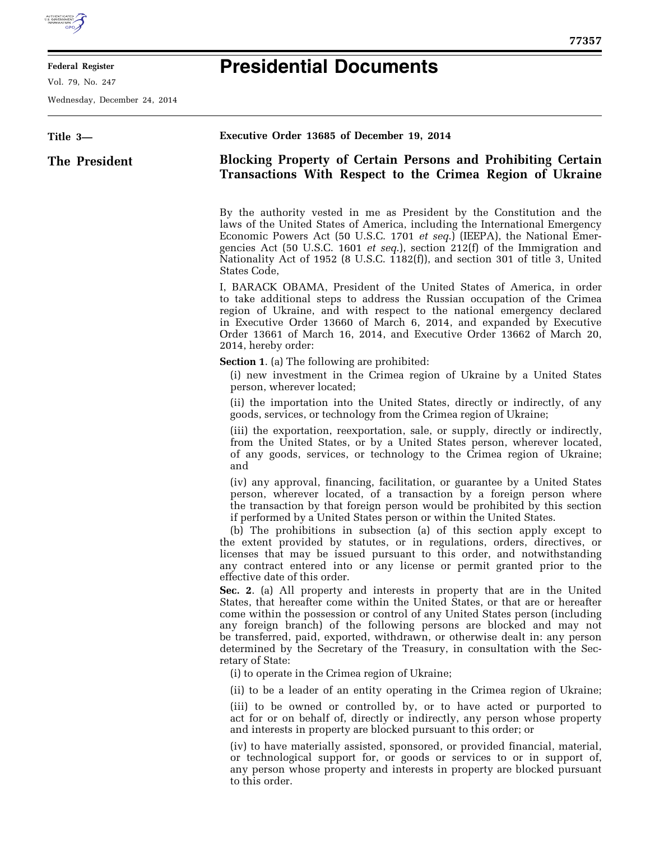

Ξ

## **Federal Register**

Vol. 79, No. 247

Wednesday, December 24, 2014

| 77357 |  |
|-------|--|
|       |  |
|       |  |
|       |  |
|       |  |
|       |  |
|       |  |
|       |  |

| Title 3-      | Executive Order 13685 of December 19, 2014                                                                                                                                                                                                                                                                                                                                                                                                                                                                                                                                                                             |
|---------------|------------------------------------------------------------------------------------------------------------------------------------------------------------------------------------------------------------------------------------------------------------------------------------------------------------------------------------------------------------------------------------------------------------------------------------------------------------------------------------------------------------------------------------------------------------------------------------------------------------------------|
| The President | <b>Blocking Property of Certain Persons and Prohibiting Certain</b><br>Transactions With Respect to the Crimea Region of Ukraine                                                                                                                                                                                                                                                                                                                                                                                                                                                                                       |
|               | By the authority vested in me as President by the Constitution and the<br>laws of the United States of America, including the International Emergency<br>Economic Powers Act (50 U.S.C. 1701 et seq.) (IEEPA), the National Emer-<br>gencies Act (50 U.S.C. 1601 <i>et seq.</i> ), section 212(f) of the Immigration and<br>Nationality Act of 1952 (8 U.S.C. 1182(f)), and section 301 of title 3, United<br>States Code,                                                                                                                                                                                             |
|               | I, BARACK OBAMA, President of the United States of America, in order<br>to take additional steps to address the Russian occupation of the Crimea<br>region of Ukraine, and with respect to the national emergency declared<br>in Executive Order 13660 of March 6, 2014, and expanded by Executive<br>Order 13661 of March 16, 2014, and Executive Order 13662 of March 20,<br>2014, hereby order:                                                                                                                                                                                                                     |
|               | <b>Section 1.</b> (a) The following are prohibited:<br>(i) new investment in the Crimea region of Ukraine by a United States<br>person, wherever located;                                                                                                                                                                                                                                                                                                                                                                                                                                                              |
|               | (ii) the importation into the United States, directly or indirectly, of any<br>goods, services, or technology from the Crimea region of Ukraine;                                                                                                                                                                                                                                                                                                                                                                                                                                                                       |
|               | (iii) the exportation, reexportation, sale, or supply, directly or indirectly,<br>from the United States, or by a United States person, wherever located,<br>of any goods, services, or technology to the Crimea region of Ukraine;<br>and                                                                                                                                                                                                                                                                                                                                                                             |
|               | (iv) any approval, financing, facilitation, or guarantee by a United States<br>person, wherever located, of a transaction by a foreign person where<br>the transaction by that foreign person would be prohibited by this section<br>if performed by a United States person or within the United States.<br>(b) The prohibitions in subsection (a) of this section apply except to<br>the extent provided by statutes, or in regulations, orders, directives, or<br>licenses that may be issued pursuant to this order, and notwithstanding<br>any contract entered into or any license or permit granted prior to the |
|               | effective date of this order.<br>Sec. 2. (a) All property and interests in property that are in the United<br>States, that hereafter come within the United States, or that are or hereafter<br>come within the possession or control of any United States person (including<br>any foreign branch) of the following persons are blocked and may not<br>be transferred, paid, exported, withdrawn, or otherwise dealt in: any person<br>determined by the Secretary of the Treasury, in consultation with the Sec-<br>retary of State:                                                                                 |
|               | (i) to operate in the Crimea region of Ukraine;                                                                                                                                                                                                                                                                                                                                                                                                                                                                                                                                                                        |
|               | (ii) to be a leader of an entity operating in the Crimea region of Ukraine;<br>(iii) to be owned or controlled by, or to have acted or purported to<br>act for or on behalf of, directly or indirectly, any person whose property<br>and interests in property are blocked pursuant to this order; or                                                                                                                                                                                                                                                                                                                  |
|               | (iv) to have materially assisted, sponsored, or provided financial, material,<br>or technological support for, or goods or services to or in support of,<br>any person whose property and interests in property are blocked pursuant<br>to this order.                                                                                                                                                                                                                                                                                                                                                                 |
|               |                                                                                                                                                                                                                                                                                                                                                                                                                                                                                                                                                                                                                        |

**Presidential Documents**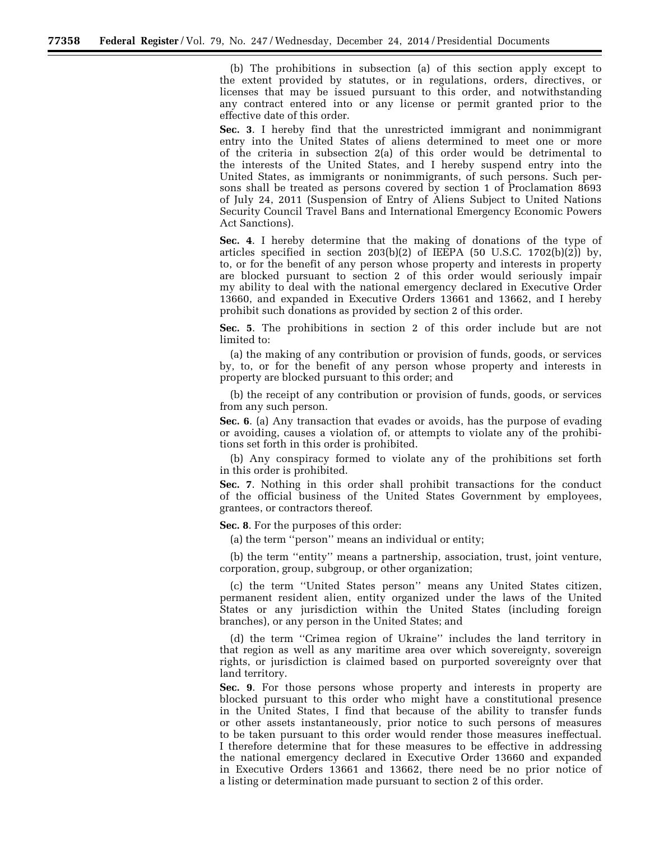(b) The prohibitions in subsection (a) of this section apply except to the extent provided by statutes, or in regulations, orders, directives, or licenses that may be issued pursuant to this order, and notwithstanding any contract entered into or any license or permit granted prior to the effective date of this order.

**Sec. 3**. I hereby find that the unrestricted immigrant and nonimmigrant entry into the United States of aliens determined to meet one or more of the criteria in subsection 2(a) of this order would be detrimental to the interests of the United States, and I hereby suspend entry into the United States, as immigrants or nonimmigrants, of such persons. Such persons shall be treated as persons covered by section 1 of Proclamation 8693 of July 24, 2011 (Suspension of Entry of Aliens Subject to United Nations Security Council Travel Bans and International Emergency Economic Powers Act Sanctions).

**Sec. 4**. I hereby determine that the making of donations of the type of articles specified in section  $203(b)(2)$  of IEEPA (50 U.S.C. 1702(b)(2)) by, to, or for the benefit of any person whose property and interests in property are blocked pursuant to section 2 of this order would seriously impair my ability to deal with the national emergency declared in Executive Order 13660, and expanded in Executive Orders 13661 and 13662, and I hereby prohibit such donations as provided by section 2 of this order.

**Sec. 5**. The prohibitions in section 2 of this order include but are not limited to:

(a) the making of any contribution or provision of funds, goods, or services by, to, or for the benefit of any person whose property and interests in property are blocked pursuant to this order; and

(b) the receipt of any contribution or provision of funds, goods, or services from any such person.

**Sec. 6**. (a) Any transaction that evades or avoids, has the purpose of evading or avoiding, causes a violation of, or attempts to violate any of the prohibitions set forth in this order is prohibited.

(b) Any conspiracy formed to violate any of the prohibitions set forth in this order is prohibited.

**Sec. 7**. Nothing in this order shall prohibit transactions for the conduct of the official business of the United States Government by employees, grantees, or contractors thereof.

**Sec. 8**. For the purposes of this order:

(a) the term ''person'' means an individual or entity;

(b) the term ''entity'' means a partnership, association, trust, joint venture, corporation, group, subgroup, or other organization;

(c) the term ''United States person'' means any United States citizen, permanent resident alien, entity organized under the laws of the United States or any jurisdiction within the United States (including foreign branches), or any person in the United States; and

(d) the term ''Crimea region of Ukraine'' includes the land territory in that region as well as any maritime area over which sovereignty, sovereign rights, or jurisdiction is claimed based on purported sovereignty over that land territory.

**Sec. 9**. For those persons whose property and interests in property are blocked pursuant to this order who might have a constitutional presence in the United States, I find that because of the ability to transfer funds or other assets instantaneously, prior notice to such persons of measures to be taken pursuant to this order would render those measures ineffectual. I therefore determine that for these measures to be effective in addressing the national emergency declared in Executive Order 13660 and expanded in Executive Orders 13661 and 13662, there need be no prior notice of a listing or determination made pursuant to section 2 of this order.